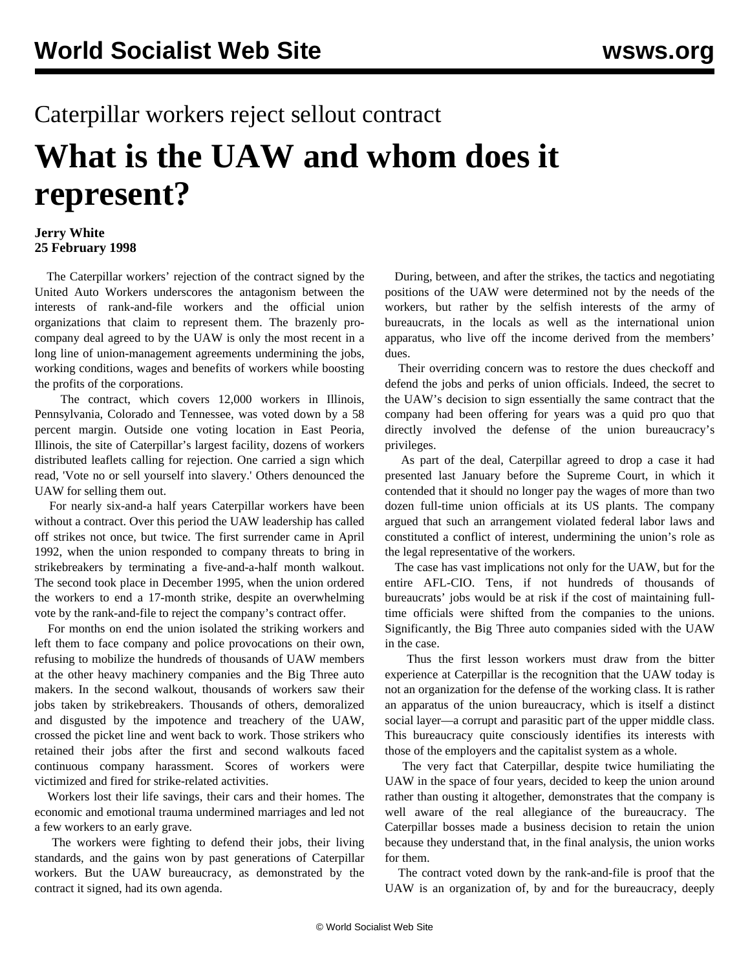# Caterpillar workers reject sellout contract **What is the UAW and whom does it represent?**

# **Jerry White 25 February 1998**

 The Caterpillar workers' rejection of the contract signed by the United Auto Workers underscores the antagonism between the interests of rank-and-file workers and the official union organizations that claim to represent them. The brazenly procompany deal agreed to by the UAW is only the most recent in a long line of union-management agreements undermining the jobs, working conditions, wages and benefits of workers while boosting the profits of the corporations.

 The contract, which covers 12,000 workers in Illinois, Pennsylvania, Colorado and Tennessee, was voted down by a 58 percent margin. Outside one voting location in East Peoria, Illinois, the site of Caterpillar's largest facility, dozens of workers distributed leaflets calling for rejection. One carried a sign which read, 'Vote no or sell yourself into slavery.' Others denounced the UAW for selling them out.

 For nearly six-and-a half years Caterpillar workers have been without a contract. Over this period the UAW leadership has called off strikes not once, but twice. The first surrender came in April 1992, when the union responded to company threats to bring in strikebreakers by terminating a five-and-a-half month walkout. The second took place in December 1995, when the union ordered the workers to end a 17-month strike, despite an overwhelming vote by the rank-and-file to reject the company's contract offer.

 For months on end the union isolated the striking workers and left them to face company and police provocations on their own, refusing to mobilize the hundreds of thousands of UAW members at the other heavy machinery companies and the Big Three auto makers. In the second walkout, thousands of workers saw their jobs taken by strikebreakers. Thousands of others, demoralized and disgusted by the impotence and treachery of the UAW, crossed the picket line and went back to work. Those strikers who retained their jobs after the first and second walkouts faced continuous company harassment. Scores of workers were victimized and fired for strike-related activities.

 Workers lost their life savings, their cars and their homes. The economic and emotional trauma undermined marriages and led not a few workers to an early grave.

 The workers were fighting to defend their jobs, their living standards, and the gains won by past generations of Caterpillar workers. But the UAW bureaucracy, as demonstrated by the contract it signed, had its own agenda.

 During, between, and after the strikes, the tactics and negotiating positions of the UAW were determined not by the needs of the workers, but rather by the selfish interests of the army of bureaucrats, in the locals as well as the international union apparatus, who live off the income derived from the members' dues.

 Their overriding concern was to restore the dues checkoff and defend the jobs and perks of union officials. Indeed, the secret to the UAW's decision to sign essentially the same contract that the company had been offering for years was a quid pro quo that directly involved the defense of the union bureaucracy's privileges.

 As part of the deal, Caterpillar agreed to drop a case it had presented last January before the Supreme Court, in which it contended that it should no longer pay the wages of more than two dozen full-time union officials at its US plants. The company argued that such an arrangement violated federal labor laws and constituted a conflict of interest, undermining the union's role as the legal representative of the workers.

 The case has vast implications not only for the UAW, but for the entire AFL-CIO. Tens, if not hundreds of thousands of bureaucrats' jobs would be at risk if the cost of maintaining fulltime officials were shifted from the companies to the unions. Significantly, the Big Three auto companies sided with the UAW in the case.

 Thus the first lesson workers must draw from the bitter experience at Caterpillar is the recognition that the UAW today is not an organization for the defense of the working class. It is rather an apparatus of the union bureaucracy, which is itself a distinct social layer—a corrupt and parasitic part of the upper middle class. This bureaucracy quite consciously identifies its interests with those of the employers and the capitalist system as a whole.

 The very fact that Caterpillar, despite twice humiliating the UAW in the space of four years, decided to keep the union around rather than ousting it altogether, demonstrates that the company is well aware of the real allegiance of the bureaucracy. The Caterpillar bosses made a business decision to retain the union because they understand that, in the final analysis, the union works for them.

 The contract voted down by the rank-and-file is proof that the UAW is an organization of, by and for the bureaucracy, deeply